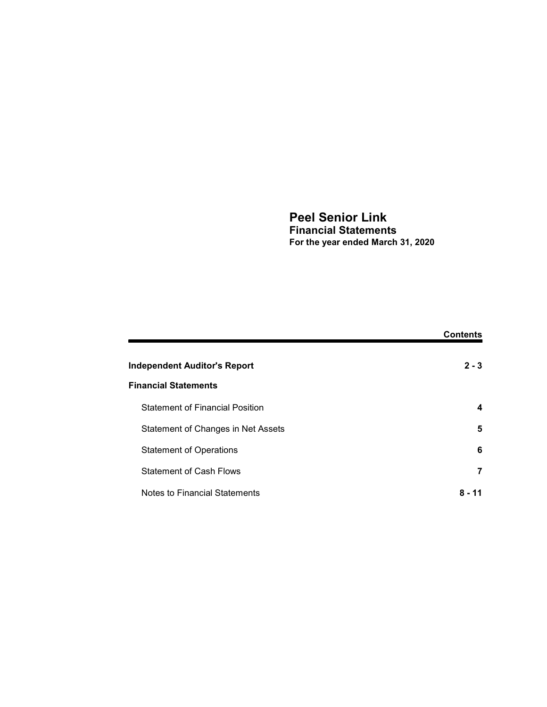# Peel Senior Link Financial Statements For the year ended March 31, 2020

|                                        | <b>Contents</b> |
|----------------------------------------|-----------------|
| <b>Independent Auditor's Report</b>    | $2 - 3$         |
| <b>Financial Statements</b>            |                 |
| <b>Statement of Financial Position</b> | 4               |
| Statement of Changes in Net Assets     | 5               |
| <b>Statement of Operations</b>         | 6               |
| <b>Statement of Cash Flows</b>         | 7               |
| <b>Notes to Financial Statements</b>   | 8 - 11          |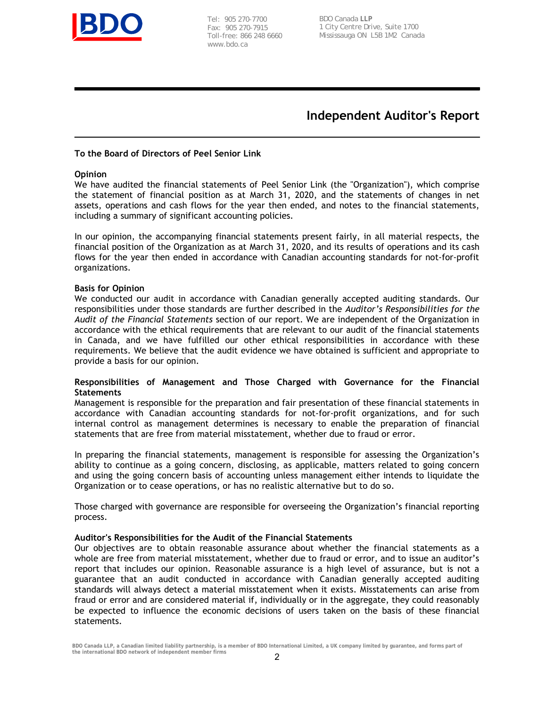

Tel: 905 270-7700 Fax: 905 270-7915 Toll-free: 866 248 6660 www.bdo.ca

BDO Canada **LLP** 1 City Centre Drive, Suite 1700 Mississauga ON L5B 1M2 Canada

# Independent Auditor's Report

## To the Board of Directors of Peel Senior Link

# Opinion

We have audited the financial statements of Peel Senior Link (the "Organization"), which comprise the statement of financial position as at March 31, 2020, and the statements of changes in net assets, operations and cash flows for the year then ended, and notes to the financial statements, including a summary of significant accounting policies.

In our opinion, the accompanying financial statements present fairly, in all material respects, the financial position of the Organization as at March 31, 2020, and its results of operations and its cash flows for the year then ended in accordance with Canadian accounting standards for not-for-profit organizations.

## Basis for Opinion

We conducted our audit in accordance with Canadian generally accepted auditing standards. Our responsibilities under those standards are further described in the Auditor's Responsibilities for the Audit of the Financial Statements section of our report. We are independent of the Organization in accordance with the ethical requirements that are relevant to our audit of the financial statements in Canada, and we have fulfilled our other ethical responsibilities in accordance with these requirements. We believe that the audit evidence we have obtained is sufficient and appropriate to provide a basis for our opinion.

## Responsibilities of Management and Those Charged with Governance for the Financial **Statements**

Management is responsible for the preparation and fair presentation of these financial statements in accordance with Canadian accounting standards for not-for-profit organizations, and for such internal control as management determines is necessary to enable the preparation of financial statements that are free from material misstatement, whether due to fraud or error.

In preparing the financial statements, management is responsible for assessing the Organization's ability to continue as a going concern, disclosing, as applicable, matters related to going concern and using the going concern basis of accounting unless management either intends to liquidate the Organization or to cease operations, or has no realistic alternative but to do so.

Those charged with governance are responsible for overseeing the Organization's financial reporting process.

## Auditor's Responsibilities for the Audit of the Financial Statements

Our objectives are to obtain reasonable assurance about whether the financial statements as a whole are free from material misstatement, whether due to fraud or error, and to issue an auditor's report that includes our opinion. Reasonable assurance is a high level of assurance, but is not a guarantee that an audit conducted in accordance with Canadian generally accepted auditing standards will always detect a material misstatement when it exists. Misstatements can arise from fraud or error and are considered material if, individually or in the aggregate, they could reasonably be expected to influence the economic decisions of users taken on the basis of these financial statements.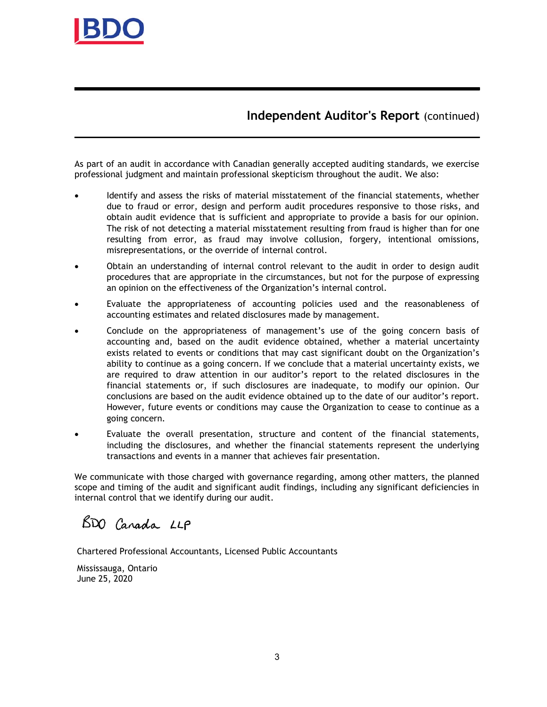

Independent Auditor's Report (continued)

As part of an audit in accordance with Canadian generally accepted auditing standards, we exercise professional judgment and maintain professional skepticism throughout the audit. We also:

- Identify and assess the risks of material misstatement of the financial statements, whether due to fraud or error, design and perform audit procedures responsive to those risks, and obtain audit evidence that is sufficient and appropriate to provide a basis for our opinion. The risk of not detecting a material misstatement resulting from fraud is higher than for one resulting from error, as fraud may involve collusion, forgery, intentional omissions, misrepresentations, or the override of internal control.
- Obtain an understanding of internal control relevant to the audit in order to design audit procedures that are appropriate in the circumstances, but not for the purpose of expressing an opinion on the effectiveness of the Organization's internal control.
- Evaluate the appropriateness of accounting policies used and the reasonableness of accounting estimates and related disclosures made by management.
- Conclude on the appropriateness of management's use of the going concern basis of accounting and, based on the audit evidence obtained, whether a material uncertainty exists related to events or conditions that may cast significant doubt on the Organization's ability to continue as a going concern. If we conclude that a material uncertainty exists, we are required to draw attention in our auditor's report to the related disclosures in the financial statements or, if such disclosures are inadequate, to modify our opinion. Our conclusions are based on the audit evidence obtained up to the date of our auditor's report. However, future events or conditions may cause the Organization to cease to continue as a going concern.
- Evaluate the overall presentation, structure and content of the financial statements, including the disclosures, and whether the financial statements represent the underlying transactions and events in a manner that achieves fair presentation.

We communicate with those charged with governance regarding, among other matters, the planned scope and timing of the audit and significant audit findings, including any significant deficiencies in internal control that we identify during our audit.

BDO Canada LLP

Chartered Professional Accountants, Licensed Public Accountants

Mississauga, Ontario June 25, 2020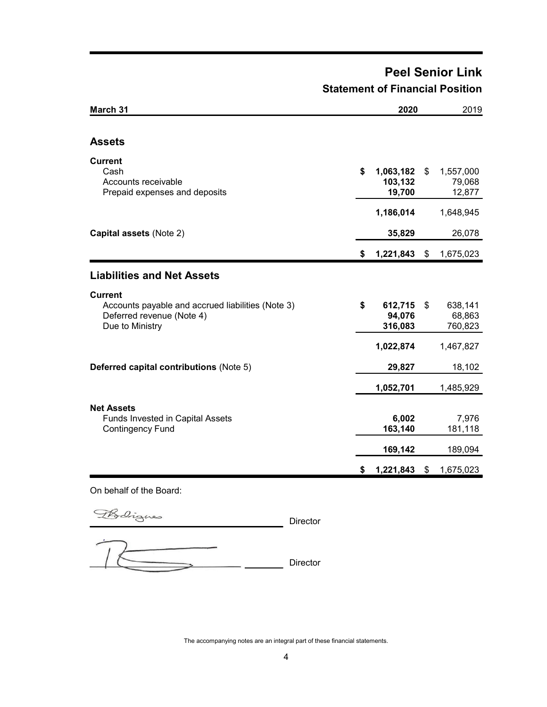# Peel Senior Link Statement of Financial Position

| March 31                                                                                                            |    | 2020                           |                           | 2019                          |
|---------------------------------------------------------------------------------------------------------------------|----|--------------------------------|---------------------------|-------------------------------|
| <b>Assets</b>                                                                                                       |    |                                |                           |                               |
| <b>Current</b><br>Cash<br>Accounts receivable<br>Prepaid expenses and deposits                                      | \$ | 1,063,182<br>103,132<br>19,700 | \$                        | 1,557,000<br>79,068<br>12,877 |
|                                                                                                                     |    | 1,186,014                      |                           | 1,648,945                     |
| Capital assets (Note 2)                                                                                             |    | 35,829                         |                           | 26,078                        |
|                                                                                                                     | \$ | 1,221,843                      | $\boldsymbol{\mathsf{S}}$ | 1,675,023                     |
| <b>Liabilities and Net Assets</b>                                                                                   |    |                                |                           |                               |
| <b>Current</b><br>Accounts payable and accrued liabilities (Note 3)<br>Deferred revenue (Note 4)<br>Due to Ministry | \$ | 612,715<br>94,076<br>316,083   | \$                        | 638,141<br>68,863<br>760,823  |
|                                                                                                                     |    | 1,022,874                      |                           | 1,467,827                     |
| <b>Deferred capital contributions (Note 5)</b>                                                                      |    | 29,827                         |                           | 18,102                        |
|                                                                                                                     |    | 1,052,701                      |                           | 1,485,929                     |
| <b>Net Assets</b><br><b>Funds Invested in Capital Assets</b><br><b>Contingency Fund</b>                             |    | 6,002<br>163,140               |                           | 7,976<br>181,118              |
|                                                                                                                     |    | 169,142                        |                           | 189,094                       |
|                                                                                                                     | S. | 1,221,843                      | \$                        | 1,675,023                     |

On behalf of the Board:

Pholignes

Director

Director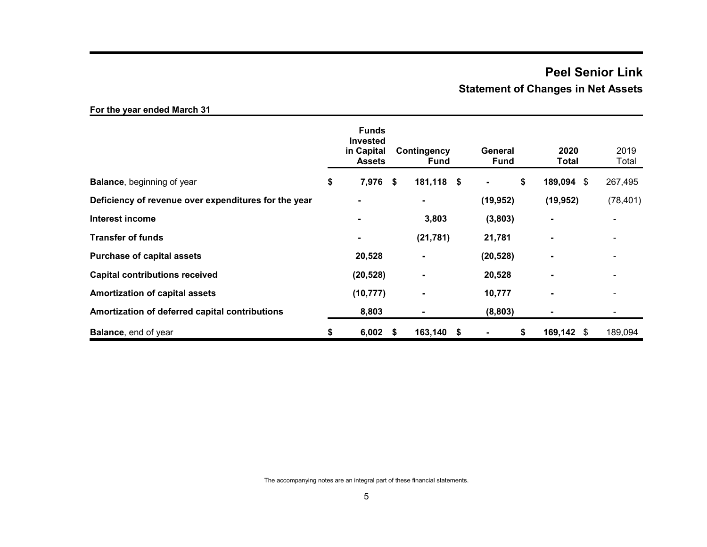# Peel Senior Link Statement of Changes in Net Assets

|                                                      | <b>Funds</b><br><b>Invested</b><br>in Capital<br><b>Assets</b> |      | Contingency<br><b>Fund</b> | General<br><b>Fund</b> | 2020<br><b>Total</b> | 2019<br>Total |
|------------------------------------------------------|----------------------------------------------------------------|------|----------------------------|------------------------|----------------------|---------------|
| <b>Balance, beginning of year</b>                    | \$<br>7,976 \$                                                 |      | 181,118 \$                 | $\blacksquare$         | \$<br>189,094 \$     | 267,495       |
| Deficiency of revenue over expenditures for the year |                                                                |      |                            | (19, 952)              | (19, 952)            | (78, 401)     |
| Interest income                                      | -                                                              |      | 3,803                      | (3,803)                | $\blacksquare$       |               |
| <b>Transfer of funds</b>                             |                                                                |      | (21, 781)                  | 21,781                 | $\blacksquare$       |               |
| <b>Purchase of capital assets</b>                    | 20,528                                                         |      |                            | (20, 528)              | $\blacksquare$       |               |
| <b>Capital contributions received</b>                | (20, 528)                                                      |      | ٠                          | 20,528                 | $\blacksquare$       |               |
| <b>Amortization of capital assets</b>                | (10, 777)                                                      |      |                            | 10,777                 |                      |               |
| Amortization of deferred capital contributions       | 8,803                                                          |      |                            | (8,803)                | $\blacksquare$       |               |
| <b>Balance, end of year</b>                          | \$<br>6,002                                                    | - \$ | 163,140 \$                 |                        | \$<br>169,142 \$     | 189,094       |

# For the year ended March 31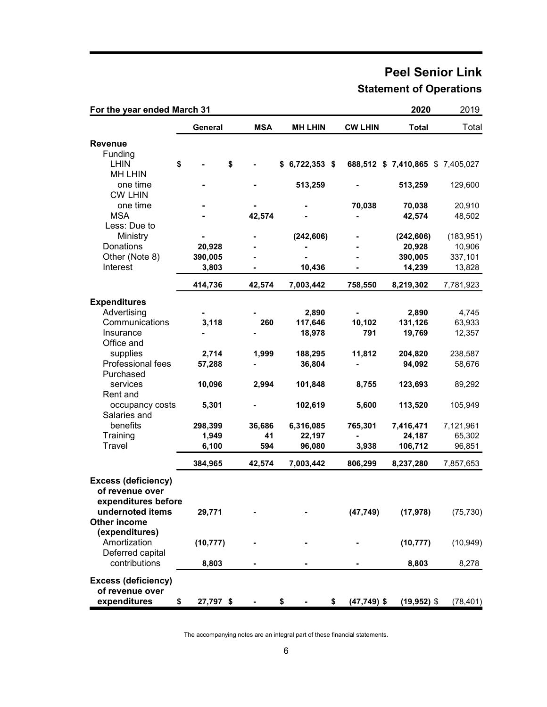# Peel Senior Link Statement of Operations

| For the year ended March 31                   |                 |            |                 |                      | 2020                              | 2019       |
|-----------------------------------------------|-----------------|------------|-----------------|----------------------|-----------------------------------|------------|
|                                               | General         | <b>MSA</b> | <b>MH LHIN</b>  | <b>CW LHIN</b>       | <b>Total</b>                      | Total      |
| <b>Revenue</b>                                |                 |            |                 |                      |                                   |            |
| Funding                                       |                 |            |                 |                      |                                   |            |
| <b>LHIN</b>                                   | \$              | \$         | $$6,722,353$ \$ |                      | 688,512 \$ 7,410,865 \$ 7,405,027 |            |
| <b>MH LHIN</b>                                |                 |            |                 |                      |                                   |            |
| one time                                      |                 |            | 513,259         |                      | 513,259                           | 129,600    |
| <b>CW LHIN</b>                                |                 |            |                 |                      |                                   |            |
| one time                                      |                 |            |                 | 70,038               | 70,038                            | 20,910     |
| <b>MSA</b>                                    |                 | 42,574     |                 |                      | 42,574                            | 48,502     |
| Less: Due to                                  |                 |            |                 |                      |                                   |            |
| Ministry                                      |                 |            | (242, 606)      |                      | (242, 606)                        | (183, 951) |
| Donations                                     | 20,928          |            |                 |                      | 20,928                            | 10,906     |
| Other (Note 8)                                | 390,005         |            |                 |                      | 390,005                           | 337,101    |
| Interest                                      | 3,803           |            | 10,436          |                      | 14,239                            | 13,828     |
|                                               | 414,736         | 42,574     | 7,003,442       | 758,550              | 8,219,302                         | 7,781,923  |
| <b>Expenditures</b>                           |                 |            |                 |                      |                                   |            |
| Advertising                                   |                 |            | 2,890           |                      | 2,890                             | 4,745      |
| Communications                                | 3,118           | 260        | 117,646         | 10,102               | 131,126                           | 63,933     |
| Insurance                                     |                 |            | 18,978          | 791                  | 19,769                            | 12,357     |
| Office and                                    |                 |            |                 |                      |                                   |            |
| supplies                                      | 2,714           | 1,999      | 188,295         | 11,812               | 204,820                           | 238,587    |
| Professional fees                             | 57,288          |            | 36,804          |                      | 94,092                            | 58,676     |
| Purchased                                     |                 |            |                 |                      |                                   |            |
| services                                      | 10,096          | 2,994      | 101,848         | 8,755                | 123,693                           | 89,292     |
| Rent and                                      |                 |            |                 |                      |                                   |            |
| occupancy costs                               | 5,301           |            | 102,619         | 5,600                | 113,520                           | 105,949    |
| Salaries and                                  |                 |            |                 |                      |                                   |            |
| benefits                                      | 298,399         | 36,686     | 6,316,085       | 765,301              | 7,416,471                         | 7,121,961  |
| Training                                      | 1,949           | 41         | 22,197          |                      | 24,187                            | 65,302     |
| Travel                                        | 6,100           | 594        | 96,080          | 3,938                | 106,712                           | 96,851     |
|                                               | 384,965         | 42,574     | 7,003,442       | 806,299              | 8,237,280                         | 7,857,653  |
|                                               |                 |            |                 |                      |                                   |            |
| <b>Excess (deficiency)</b><br>of revenue over |                 |            |                 |                      |                                   |            |
| expenditures before                           |                 |            |                 |                      |                                   |            |
| undernoted items                              | 29,771          |            |                 | (47, 749)            |                                   |            |
| <b>Other income</b>                           |                 |            |                 |                      | (17, 978)                         | (75, 730)  |
| (expenditures)                                |                 |            |                 |                      |                                   |            |
| Amortization                                  | (10, 777)       |            |                 |                      | (10, 777)                         | (10, 949)  |
| Deferred capital                              |                 |            |                 |                      |                                   |            |
| contributions                                 | 8,803           |            |                 |                      | 8,803                             | 8,278      |
| <b>Excess (deficiency)</b>                    |                 |            |                 |                      |                                   |            |
| of revenue over                               |                 |            |                 |                      |                                   |            |
| expenditures                                  | 27,797 \$<br>\$ |            | \$              | $(47, 749)$ \$<br>\$ | $(19,952)$ \$                     | (78, 401)  |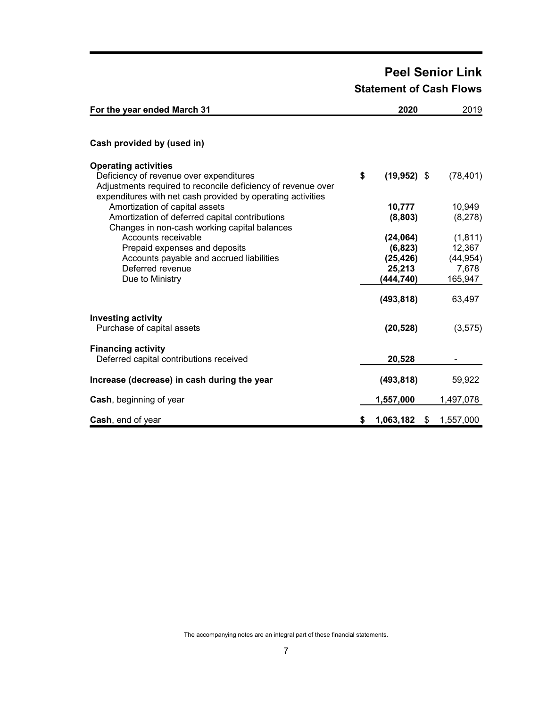Peel Senior Link Statement of Cash Flows

| For the year ended March 31                                                                                                                                                                           | 2020                               | 2019                            |
|-------------------------------------------------------------------------------------------------------------------------------------------------------------------------------------------------------|------------------------------------|---------------------------------|
| Cash provided by (used in)                                                                                                                                                                            |                                    |                                 |
| <b>Operating activities</b><br>Deficiency of revenue over expenditures<br>Adjustments required to reconcile deficiency of revenue over<br>expenditures with net cash provided by operating activities | \$<br>$(19,952)$ \$                | (78, 401)                       |
| Amortization of capital assets<br>Amortization of deferred capital contributions<br>Changes in non-cash working capital balances                                                                      | 10,777<br>(8, 803)                 | 10,949<br>(8,278)               |
| Accounts receivable<br>Prepaid expenses and deposits<br>Accounts payable and accrued liabilities                                                                                                      | (24, 064)<br>(6, 823)<br>(25, 426) | (1, 811)<br>12,367<br>(44, 954) |
| Deferred revenue<br>Due to Ministry                                                                                                                                                                   | 25,213<br>(444,740)                | 7,678<br>165,947                |
|                                                                                                                                                                                                       | (493, 818)                         | 63,497                          |
| <b>Investing activity</b><br>Purchase of capital assets                                                                                                                                               | (20, 528)                          | (3, 575)                        |
| <b>Financing activity</b><br>Deferred capital contributions received                                                                                                                                  | 20,528                             |                                 |
| Increase (decrease) in cash during the year                                                                                                                                                           | (493, 818)                         | 59,922                          |
| <b>Cash, beginning of year</b>                                                                                                                                                                        | 1,557,000                          | 1,497,078                       |
| Cash, end of year                                                                                                                                                                                     | \$<br>1,063,182                    | \$<br>1,557,000                 |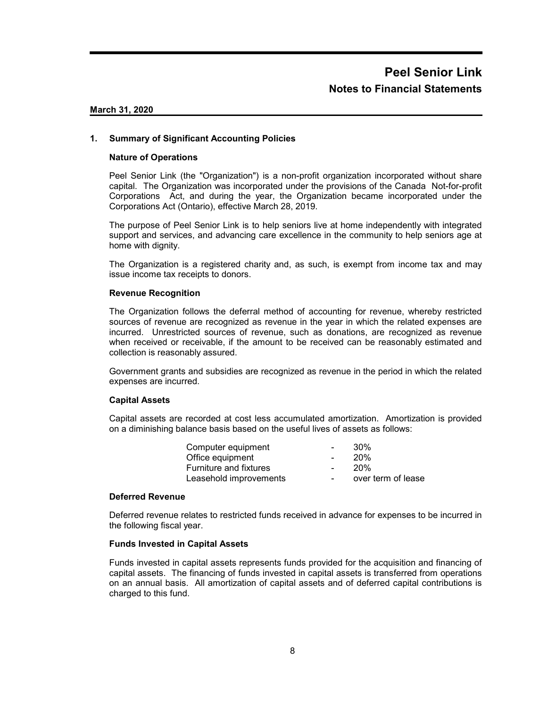#### March 31, 2020

#### 1. Summary of Significant Accounting Policies

#### Nature of Operations

Peel Senior Link (the "Organization") is a non-profit organization incorporated without share capital. The Organization was incorporated under the provisions of the Canada Not-for-profit Corporations Act, and during the year, the Organization became incorporated under the Corporations Act (Ontario), effective March 28, 2019.

The purpose of Peel Senior Link is to help seniors live at home independently with integrated support and services, and advancing care excellence in the community to help seniors age at home with dignity.

The Organization is a registered charity and, as such, is exempt from income tax and may issue income tax receipts to donors.

#### Revenue Recognition

The Organization follows the deferral method of accounting for revenue, whereby restricted sources of revenue are recognized as revenue in the year in which the related expenses are incurred. Unrestricted sources of revenue, such as donations, are recognized as revenue when received or receivable, if the amount to be received can be reasonably estimated and collection is reasonably assured.

Government grants and subsidies are recognized as revenue in the period in which the related expenses are incurred.

#### Capital Assets

Capital assets are recorded at cost less accumulated amortization. Amortization is provided on a diminishing balance basis based on the useful lives of assets as follows:

| Computer equipment            | $\sim$ 10 $\pm$ | 30%                |
|-------------------------------|-----------------|--------------------|
| Office equipment              | $\sim$          | <b>20%</b>         |
| <b>Furniture and fixtures</b> | $\sim$          | 20%                |
| Leasehold improvements        | $\sim$ 10 $\,$  | over term of lease |

#### Deferred Revenue

Deferred revenue relates to restricted funds received in advance for expenses to be incurred in the following fiscal year.

#### Funds Invested in Capital Assets

Funds invested in capital assets represents funds provided for the acquisition and financing of capital assets. The financing of funds invested in capital assets is transferred from operations on an annual basis. All amortization of capital assets and of deferred capital contributions is charged to this fund.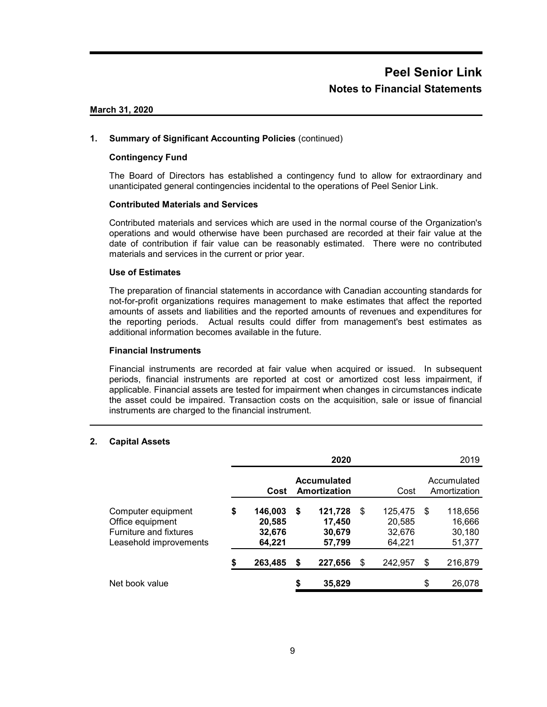#### March 31, 2020

#### 1. Summary of Significant Accounting Policies (continued)

#### Contingency Fund

The Board of Directors has established a contingency fund to allow for extraordinary and unanticipated general contingencies incidental to the operations of Peel Senior Link.

#### Contributed Materials and Services

Contributed materials and services which are used in the normal course of the Organization's operations and would otherwise have been purchased are recorded at their fair value at the date of contribution if fair value can be reasonably estimated. There were no contributed materials and services in the current or prior year.

#### Use of Estimates

The preparation of financial statements in accordance with Canadian accounting standards for not-for-profit organizations requires management to make estimates that affect the reported amounts of assets and liabilities and the reported amounts of revenues and expenditures for the reporting periods. Actual results could differ from management's best estimates as additional information becomes available in the future.

#### Financial Instruments

Financial instruments are recorded at fair value when acquired or issued. In subsequent periods, financial instruments are reported at cost or amortized cost less impairment, if applicable. Financial assets are tested for impairment when changes in circumstances indicate the asset could be impaired. Transaction costs on the acquisition, sale or issue of financial instruments are charged to the financial instrument.

#### 2. Capital Assets

|                                                                                                   |                                             | 2020                                        |                                             | 2019                                        |
|---------------------------------------------------------------------------------------------------|---------------------------------------------|---------------------------------------------|---------------------------------------------|---------------------------------------------|
|                                                                                                   | Cost                                        | <b>Accumulated</b><br>Amortization          | Cost                                        | Accumulated<br>Amortization                 |
| Computer equipment<br>Office equipment<br><b>Furniture and fixtures</b><br>Leasehold improvements | \$<br>146,003<br>20,585<br>32,676<br>64,221 | \$<br>121,728<br>17,450<br>30,679<br>57,799 | \$<br>125,475<br>20,585<br>32,676<br>64,221 | \$<br>118,656<br>16,666<br>30,180<br>51,377 |
|                                                                                                   | 263,485                                     | \$<br>227,656                               | \$<br>242,957                               | \$<br>216,879                               |
| Net book value                                                                                    |                                             | \$<br>35,829                                |                                             | \$<br>26,078                                |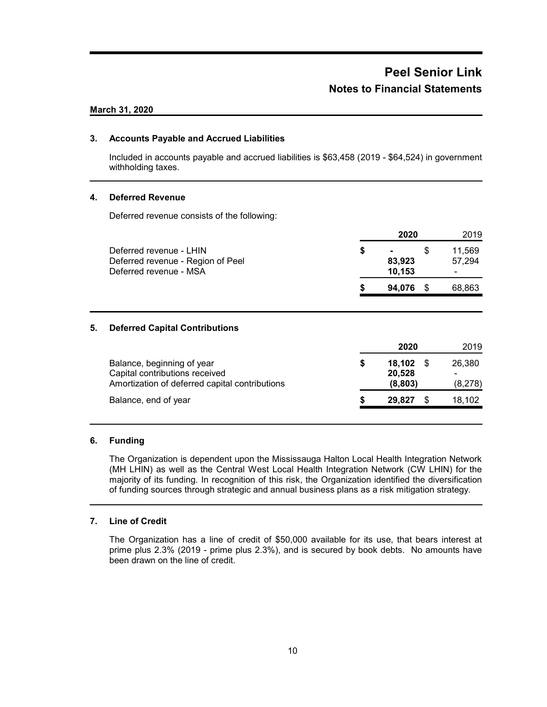#### March 31, 2020

#### 3. Accounts Payable and Accrued Liabilities

Included in accounts payable and accrued liabilities is \$63,458 (2019 - \$64,524) in government withholding taxes.

#### 4. Deferred Revenue

Deferred revenue consists of the following:

|                                                              | 2020                     | 2019             |
|--------------------------------------------------------------|--------------------------|------------------|
| Deferred revenue - LHIN<br>Deferred revenue - Region of Peel | $\blacksquare$<br>83.923 | 11.569<br>57.294 |
| Deferred revenue - MSA                                       | 10.153                   | -                |
|                                                              | 94,076 \$                | 68,863           |

# 5. Deferred Capital Contributions

|                                                                                                                |   | 2020                          | 2019              |
|----------------------------------------------------------------------------------------------------------------|---|-------------------------------|-------------------|
| Balance, beginning of year<br>Capital contributions received<br>Amortization of deferred capital contributions | S | 18.102 S<br>20,528<br>(8,803) | 26,380<br>(8,278) |
| Balance, end of year                                                                                           |   | 29.827                        | 18.102            |

## 6. Funding

The Organization is dependent upon the Mississauga Halton Local Health Integration Network (MH LHIN) as well as the Central West Local Health Integration Network (CW LHIN) for the majority of its funding. In recognition of this risk, the Organization identified the diversification of funding sources through strategic and annual business plans as a risk mitigation strategy.

## 7. Line of Credit

The Organization has a line of credit of \$50,000 available for its use, that bears interest at prime plus 2.3% (2019 - prime plus 2.3%), and is secured by book debts. No amounts have been drawn on the line of credit.